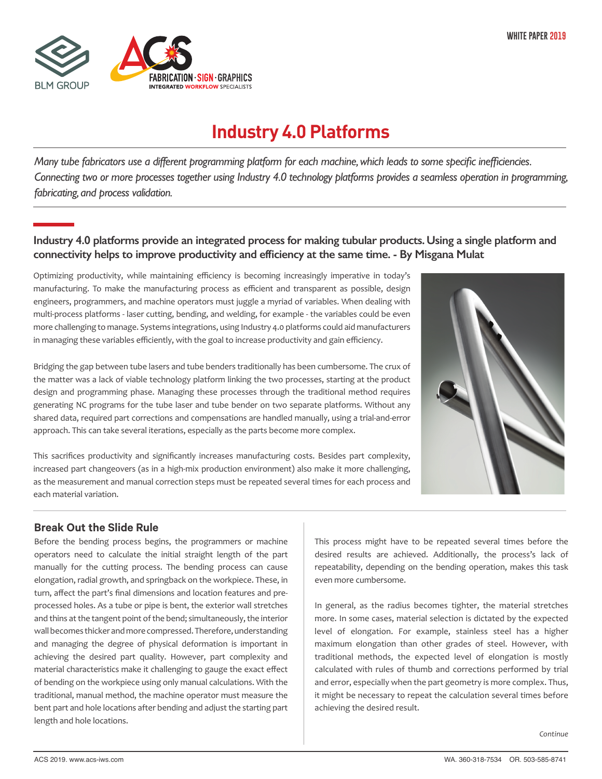

# **Industry 4.0 Platforms**

*Many tube fabricators use a different programming platform for each machine, which leads to some specific inefficiencies. Connecting two or more processes together using Industry 4.0 technology platforms provides a seamless operation in programming, fabricating, and process validation.*

## **Industry 4.0 platforms provide an integrated process for making tubular products.Using a single platform and connectivity helps to improve productivity and efficiency at the same time. - By Misgana Mulat**

Optimizing productivity, while maintaining efficiency is becoming increasingly imperative in today's manufacturing. To make the manufacturing process as efficient and transparent as possible, design engineers, programmers, and machine operators must juggle a myriad of variables. When dealing with multi-process platforms - laser cutting, bending, and welding, for example - the variables could be even more challenging to manage. Systems integrations, using Industry 4.0 platforms could aid manufacturers in managing these variables efficiently, with the goal to increase productivity and gain efficiency.



Bridging the gap between tube lasers and tube benders traditionally has been cumbersome. The crux of the matter was a lack of viable technology platform linking the two processes, starting at the product design and programming phase. Managing these processes through the traditional method requires generating NC programs for the tube laser and tube bender on two separate platforms. Without any shared data, required part corrections and compensations are handled manually, using a trial-and-error approach. This can take several iterations, especially as the parts become more complex.

This sacrifices productivity and significantly increases manufacturing costs. Besides part complexity, increased part changeovers (as in a high-mix production environment) also make it more challenging, as the measurement and manual correction steps must be repeated several times for each process and each material variation.

## **Break Out the Slide Rule**

Before the bending process begins, the programmers or machine operators need to calculate the initial straight length of the part manually for the cutting process. The bending process can cause elongation, radial growth, and springback on the workpiece. These, in turn, affect the part's final dimensions and location features and preprocessed holes. As a tube or pipe is bent, the exterior wall stretches and thins at the tangent point of the bend; simultaneously, the interior wall becomes thicker and more compressed. Therefore, understanding and managing the degree of physical deformation is important in achieving the desired part quality. However, part complexity and material characteristics make it challenging to gauge the exact effect of bending on the workpiece using only manual calculations. With the traditional, manual method, the machine operator must measure the bent part and hole locations after bending and adjust the starting part length and hole locations.

This process might have to be repeated several times before the desired results are achieved. Additionally, the process's lack of repeatability, depending on the bending operation, makes this task even more cumbersome.

In general, as the radius becomes tighter, the material stretches more. In some cases, material selection is dictated by the expected level of elongation. For example, stainless steel has a higher maximum elongation than other grades of steel. However, with traditional methods, the expected level of elongation is mostly calculated with rules of thumb and corrections performed by trial and error, especially when the part geometry is more complex. Thus, it might be necessary to repeat the calculation several times before achieving the desired result.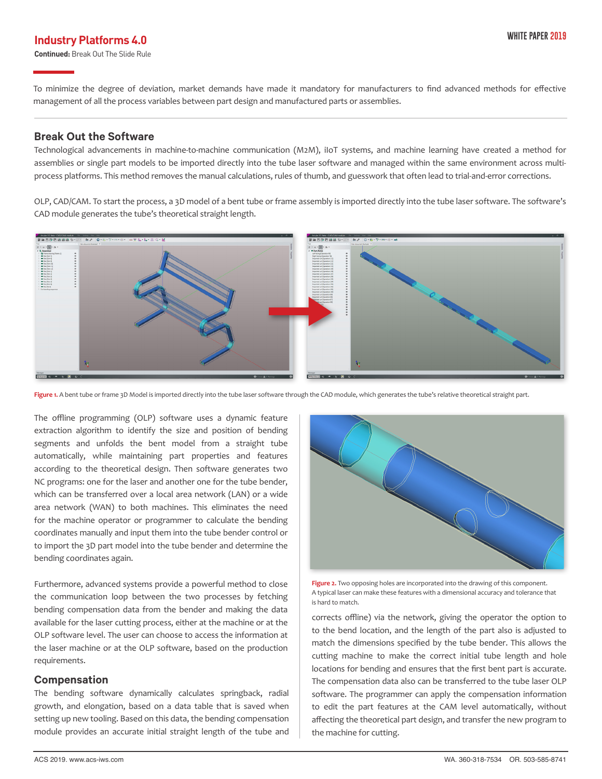# **Industry Platforms 4.0 Industry Platforms 4.0**

**Continued:** Break Out The Slide Rule

To minimize the degree of deviation, market demands have made it mandatory for manufacturers to find advanced methods for effective management of all the process variables between part design and manufactured parts or assemblies.

#### **Break Out the Software**

Technological advancements in machine-to-machine communication (M2M), iIoT systems, and machine learning have created a method for assemblies or single part models to be imported directly into the tube laser software and managed within the same environment across multiprocess platforms. This method removes the manual calculations, rules of thumb, and guesswork that often lead to trial-and-error corrections.

OLP, CAD/CAM. To start the process, a 3D model of a bent tube or frame assembly is imported directly into the tube laser software. The software's CAD module generates the tube's theoretical straight length.



Figure 1. A bent tube or frame 3D Model is imported directly into the tube laser software through the CAD module, which generates the tube's relative theoretical straight part.

The offline programming (OLP) software uses a dynamic feature extraction algorithm to identify the size and position of bending segments and unfolds the bent model from a straight tube automatically, while maintaining part properties and features according to the theoretical design. Then software generates two NC programs: one for the laser and another one for the tube bender, which can be transferred over a local area network (LAN) or a wide area network (WAN) to both machines. This eliminates the need for the machine operator or programmer to calculate the bending coordinates manually and input them into the tube bender control or to import the 3D part model into the tube bender and determine the bending coordinates again.

Furthermore, advanced systems provide a powerful method to close the communication loop between the two processes by fetching bending compensation data from the bender and making the data available for the laser cutting process, either at the machine or at the OLP software level. The user can choose to access the information at the laser machine or at the OLP software, based on the production requirements.

#### **Compensation**

The bending software dynamically calculates springback, radial growth, and elongation, based on a data table that is saved when setting up new tooling. Based on this data, the bending compensation module provides an accurate initial straight length of the tube and



**Figure 2.** Two opposing holes are incorporated into the drawing of this component. A typical laser can make these features with a dimensional accuracy and tolerance that is hard to match.

corrects offline) via the network, giving the operator the option to to the bend location, and the length of the part also is adjusted to match the dimensions specified by the tube bender. This allows the cutting machine to make the correct initial tube length and hole locations for bending and ensures that the first bent part is accurate. The compensation data also can be transferred to the tube laser OLP software. The programmer can apply the compensation information to edit the part features at the CAM level automatically, without affecting the theoretical part design, and transfer the new program to the machine for cutting.